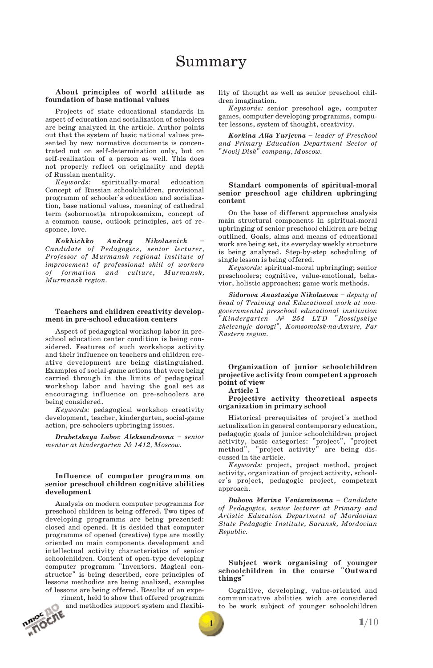# Summary

## **About principles of world attitude as foundation of base national values**

Projects of state educational standards in aspect of education and socialization of schoolers are being analyzed in the article. Author points out that the system of basic national values presented by new normative documents is concentrated not on self-determination only, but on self-realization of a person as well. This does not properly reflect on originality and depth of Russian mentality.<br>Keywords: spiri

 $s$ piritually-moral education Concept of Russian schoolchildren, provisional programm of schooler's education and socializa tion, base national values, meaning of cathedral term (sobornost)a ntropokosmizm, concept of a common cause, outlook principles, act of re sponce, love.

*Kokhichko Andrey Nikolaevich – Candidate of Pedagogics, senior lecturer, Professor of Murmansk regional institute of improvement of professional skill of workers of formation and culture, Murmansk, Murmansk region.*

### **Teachers and children creativity develop ment in pre-school education centers**

Aspect of pedagogical workshop labor in pre school education center condition is being con sidered. Features of such workshops activity and their influence on teachers and children cre ative development are being distinguished. Examples of social-game actions that were being carried through in the limits of pedagogical workshop labor and having the goal set as encouraging influence on pre-schoolers are being considered.

*Keywords:* pedagogical workshop creativity development, teacher, kindergarten, social-game action, pre-schoolers upbringing issues.

*Drubetskaya Lubov Aleksandrovna – senior mentor at kindergarten № 1412, Moscow.*

## **Influence of computer programms on senior preschool children cognitive abilities development**

Analysis on modern computer programms for preschool children is being offered. Two tipes of developing programms are being prezented: closed and opened. It is desided that computer programms of opened (creative) type are mostly oriented on main components development and intellectual activity characteristics of senior schoolchildren. Content of open-type developing computer programm "Inventors. Magical con- structor" is being described, core principles of lessons methodics are being analized, examples of lessons are being offered. Results of an expe-

riment, held to show that offered programm<br>and methodics support system and flexibi-<br> $\mathbf{m}$ and methodics support system and flexibi-

lity of thought as well as senior preschool chil dren imagination.

*Keywords:* senior preschool age, computer games, computer developing programms, computer lessons, system of thought, creativity.

*Korkina Alla Yurjevna – leader of Preschool and Primary Education Department Sector of "Novij Disk" company, Moscow.*

## **Standart components of spiritual-moral senior preschool age children upbringing content**

On the base of different approaches analysis main structural components in spiritual-moral upbringing of senior preschool children are being outlined. Goals, aims and means of educational work are being set, its everyday weekly structure is being analyzed. Step-by-step scheduling of single lesson is being offered.

*Keywords:* spiritual-moral upbringing; senior preschoolers; cognitive, value-emotional, beha vior, holistic approaches; game work methods.

*Sidorova Anastasiya Nikolaevna – deputy of head of Training and Educational work at nongovernmental preschool educational institution "Kindergarten № 254 LTD "Rossiyskiye zheleznyje dorogi", Komsomolsk-na-Amure, Far Eastern region.*

# **Organization of junior schoolchildren projective activity from competent approach point of view**

**Article 1**

**Projective activity theoretical aspects organization in primary school**

Historical prerequisites of project's method actualization in general contemporary education, pedagogic goals of junior schoolchildren project activity, basic categories: "project", "project method", "project activity" are being dis cussed in the article.

*Keywords:* project, project method, project activity, organization of project activity, school er's project, pedagogic project, competent approach.

*Dubova Marina Veniaminovna* – *Candidate of Pedagogics, senior lecturer at Primary and Artistic Education Department of Mordovian State Pedagogic Institute, Saransk, Mordovian Republic.*

## **Subject work organising of younger schoolchildren in the course "Outward things"**

Cognitive, developing, value-oriented and communicative abilities wich are considered to be work subject of younger schoolchildren